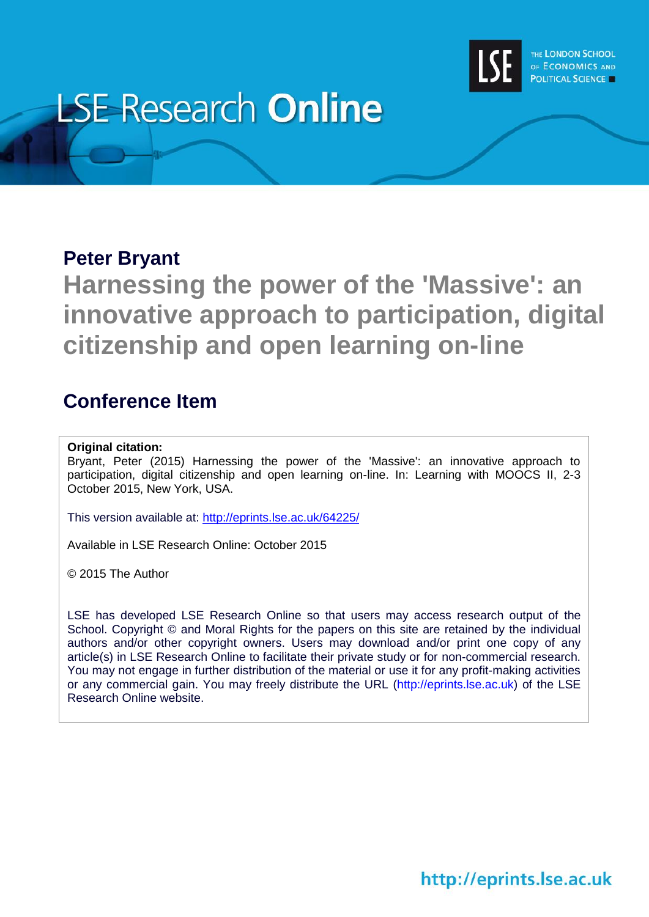

# **LSE Research Online**

## **Peter Bryant**

**Harnessing the power of the 'Massive': an innovative approach to participation, digital citizenship and open learning on-line**

# **Conference Item**

## **Original citation:**

Bryant, Peter (2015) Harnessing the power of the 'Massive': an innovative approach to participation, digital citizenship and open learning on-line. In: Learning with MOOCS II, 2-3 October 2015, New York, USA.

This version available at:<http://eprints.lse.ac.uk/64225/>

Available in LSE Research Online: October 2015

© 2015 The Author

LSE has developed LSE Research Online so that users may access research output of the School. Copyright © and Moral Rights for the papers on this site are retained by the individual authors and/or other copyright owners. Users may download and/or print one copy of any article(s) in LSE Research Online to facilitate their private study or for non-commercial research. You may not engage in further distribution of the material or use it for any profit-making activities or any commercial gain. You may freely distribute the URL (http://eprints.lse.ac.uk) of the LSE Research Online website.

http://eprints.lse.ac.uk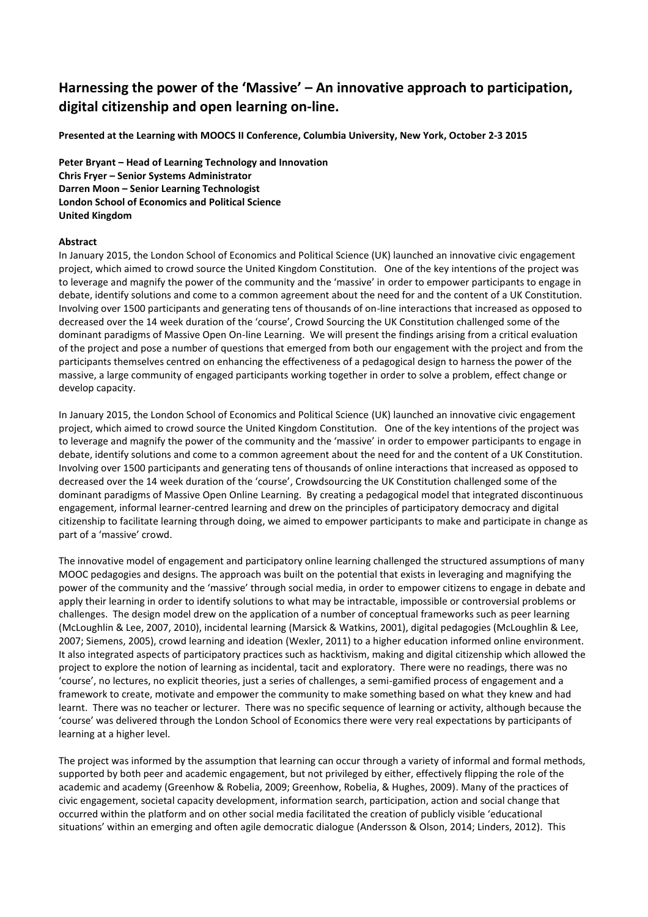## **Harnessing the power of the 'Massive' – An innovative approach to participation, digital citizenship and open learning on-line.**

**Presented at the Learning with MOOCS II Conference, Columbia University, New York, October 2-3 2015**

**Peter Bryant – Head of Learning Technology and Innovation Chris Fryer – Senior Systems Administrator Darren Moon – Senior Learning Technologist London School of Economics and Political Science United Kingdom**

## **Abstract**

In January 2015, the London School of Economics and Political Science (UK) launched an innovative civic engagement project, which aimed to crowd source the United Kingdom Constitution. One of the key intentions of the project was to leverage and magnify the power of the community and the 'massive' in order to empower participants to engage in debate, identify solutions and come to a common agreement about the need for and the content of a UK Constitution. Involving over 1500 participants and generating tens of thousands of on-line interactions that increased as opposed to decreased over the 14 week duration of the 'course', Crowd Sourcing the UK Constitution challenged some of the dominant paradigms of Massive Open On-line Learning. We will present the findings arising from a critical evaluation of the project and pose a number of questions that emerged from both our engagement with the project and from the participants themselves centred on enhancing the effectiveness of a pedagogical design to harness the power of the massive, a large community of engaged participants working together in order to solve a problem, effect change or develop capacity.

In January 2015, the London School of Economics and Political Science (UK) launched an innovative civic engagement project, which aimed to crowd source the United Kingdom Constitution. One of the key intentions of the project was to leverage and magnify the power of the community and the 'massive' in order to empower participants to engage in debate, identify solutions and come to a common agreement about the need for and the content of a UK Constitution. Involving over 1500 participants and generating tens of thousands of online interactions that increased as opposed to decreased over the 14 week duration of the 'course', Crowdsourcing the UK Constitution challenged some of the dominant paradigms of Massive Open Online Learning. By creating a pedagogical model that integrated discontinuous engagement, informal learner-centred learning and drew on the principles of participatory democracy and digital citizenship to facilitate learning through doing, we aimed to empower participants to make and participate in change as part of a 'massive' crowd.

The innovative model of engagement and participatory online learning challenged the structured assumptions of many MOOC pedagogies and designs. The approach was built on the potential that exists in leveraging and magnifying the power of the community and the 'massive' through social media, in order to empower citizens to engage in debate and apply their learning in order to identify solutions to what may be intractable, impossible or controversial problems or challenges. The design model drew on the application of a number of conceptual frameworks such as peer learning (McLoughlin & Lee, 2007, 2010), incidental learning (Marsick & Watkins, 2001), digital pedagogies (McLoughlin & Lee, 2007; Siemens, 2005), crowd learning and ideation (Wexler, 2011) to a higher education informed online environment. It also integrated aspects of participatory practices such as hacktivism, making and digital citizenship which allowed the project to explore the notion of learning as incidental, tacit and exploratory. There were no readings, there was no 'course', no lectures, no explicit theories, just a series of challenges, a semi-gamified process of engagement and a framework to create, motivate and empower the community to make something based on what they knew and had learnt. There was no teacher or lecturer. There was no specific sequence of learning or activity, although because the 'course' was delivered through the London School of Economics there were very real expectations by participants of learning at a higher level.

The project was informed by the assumption that learning can occur through a variety of informal and formal methods, supported by both peer and academic engagement, but not privileged by either, effectively flipping the role of the academic and academy (Greenhow & Robelia, 2009; Greenhow, Robelia, & Hughes, 2009). Many of the practices of civic engagement, societal capacity development, information search, participation, action and social change that occurred within the platform and on other social media facilitated the creation of publicly visible 'educational situations' within an emerging and often agile democratic dialogue (Andersson & Olson, 2014; Linders, 2012). This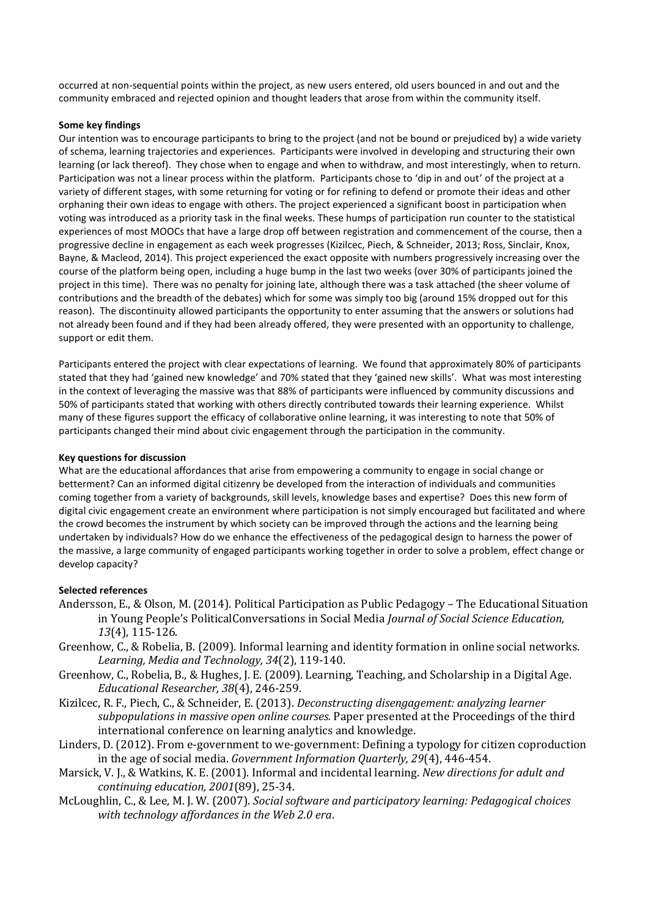occurred at non-sequential points within the project, as new users entered, old users bounced in and out and the community embraced and rejected opinion and thought leaders that arose from within the community itself.

### **Some key findings**

Our intention was to encourage participants to bring to the project (and not be bound or prejudiced by) a wide variety of schema, learning trajectories and experiences. Participants were involved in developing and structuring their own learning (or lack thereof). They chose when to engage and when to withdraw, and most interestingly, when to return. Participation was not a linear process within the platform. Participants chose to 'dip in and out' of the project at a variety of different stages, with some returning for voting or for refining to defend or promote their ideas and other orphaning their own ideas to engage with others. The project experienced a significant boost in participation when voting was introduced as a priority task in the final weeks. These humps of participation run counter to the statistical experiences of most MOOCs that have a large drop off between registration and commencement of the course, then a progressive decline in engagement as each week progresses (Kizilcec, Piech, & Schneider, 2013; Ross, Sinclair, Knox, Bayne, & Macleod, 2014). This project experienced the exact opposite with numbers progressively increasing over the course of the platform being open, including a huge bump in the last two weeks (over 30% of participants joined the project in this time). There was no penalty for joining late, although there was a task attached (the sheer volume of contributions and the breadth of the debates) which for some was simply too big (around 15% dropped out for this reason). The discontinuity allowed participants the opportunity to enter assuming that the answers or solutions had not already been found and if they had been already offered, they were presented with an opportunity to challenge, support or edit them.

Participants entered the project with clear expectations of learning. We found that approximately 80% of participants stated that they had 'gained new knowledge' and 70% stated that they 'gained new skills'. What was most interesting in the context of leveraging the massive was that 88% of participants were influenced by community discussions and 50% of participants stated that working with others directly contributed towards their learning experience. Whilst many of these figures support the efficacy of collaborative online learning, it was interesting to note that 50% of participants changed their mind about civic engagement through the participation in the community.

#### **Key questions for discussion**

What are the educational affordances that arise from empowering a community to engage in social change or betterment? Can an informed digital citizenry be developed from the interaction of individuals and communities coming together from a variety of backgrounds, skill levels, knowledge bases and expertise? Does this new form of digital civic engagement create an environment where participation is not simply encouraged but facilitated and where the crowd becomes the instrument by which society can be improved through the actions and the learning being undertaken by individuals? How do we enhance the effectiveness of the pedagogical design to harness the power of the massive, a large community of engaged participants working together in order to solve a problem, effect change or develop capacity?

## **Selected references**

- Andersson, E., & Olson, M. (2014). Political Participation as Public Pedagogy The Educational Situation in Young People's PoliticalConversations in Social Media *Journal of Social Science Education, 13*(4), 115-126.
- Greenhow, C., & Robelia, B. (2009). Informal learning and identity formation in online social networks. *Learning, Media and Technology, 34*(2), 119-140.
- Greenhow, C., Robelia, B., & Hughes, J. E. (2009). Learning, Teaching, and Scholarship in a Digital Age. *Educational Researcher, 38*(4), 246-259.
- Kizilcec, R. F., Piech, C., & Schneider, E. (2013). *Deconstructing disengagement: analyzing learner subpopulations in massive open online courses.* Paper presented at the Proceedings of the third international conference on learning analytics and knowledge.
- Linders, D. (2012). From e-government to we-government: Defining a typology for citizen coproduction in the age of social media. *Government Information Quarterly, 29*(4), 446-454.
- Marsick, V. J., & Watkins, K. E. (2001). Informal and incidental learning. *New directions for adult and continuing education, 2001*(89), 25-34.
- McLoughlin, C., & Lee, M. J. W. (2007). *Social software and participatory learning: Pedagogical choices with technology affordances in the Web 2.0 era*.